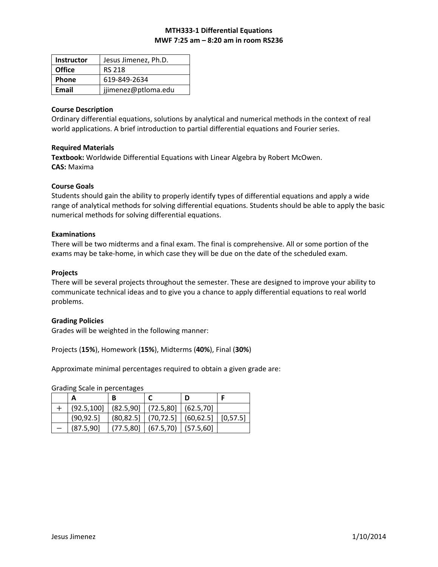# **MTH333‐1 Differential Equations MWF 7:25 am – 8:20 am in room RS236**

| <b>Instructor</b> | Jesus Jimenez, Ph.D. |  |  |
|-------------------|----------------------|--|--|
| <b>Office</b>     | <b>RS 218</b>        |  |  |
| <b>Phone</b>      | 619-849-2634         |  |  |
| Email             | jjimenez@ptloma.edu  |  |  |

#### **Course Description**

Ordinary differential equations, solutions by analytical and numerical methods in the context of real world applications. A brief introduction to partial differential equations and Fourier series.

# **Required Materials**

**Textbook:** Worldwide Differential Equations with Linear Algebra by Robert McOwen. **CAS:** Maxima

### **Course Goals**

Students should gain the ability to properly identify types of differential equations and apply a wide range of analytical methods for solving differential equations. Students should be able to apply the basic numerical methods for solving differential equations.

### **Examinations**

There will be two midterms and a final exam. The final is comprehensive. All or some portion of the exams may be take-home, in which case they will be due on the date of the scheduled exam.

### **Projects**

There will be several projects throughout the semester. These are designed to improve your ability to communicate technical ideas and to give you a chance to apply differential equations to real world problems.

# **Grading Policies**

Grades will be weighted in the following manner:

Projects (**15%**), Homework (**15%**), Midterms (**40%**), Final (**30%**)

Approximate minimal percentages required to obtain a given grade are:

Grading Scale in percentages

| А                                                    |                                                    |                                                |  |
|------------------------------------------------------|----------------------------------------------------|------------------------------------------------|--|
| $(92.5, 100]$ $(82.5, 90]$ $(72.5, 80]$ $(62.5, 70]$ |                                                    |                                                |  |
| (90, 92.5)                                           |                                                    | $(80,82.5)$ $(70,72.5)$ $(60,62.5)$ $[0,57.5]$ |  |
| (87.5, 90)                                           | $\mid$ (77.5,80] $\mid$ (67.5,70) $\mid$ (57.5,60] |                                                |  |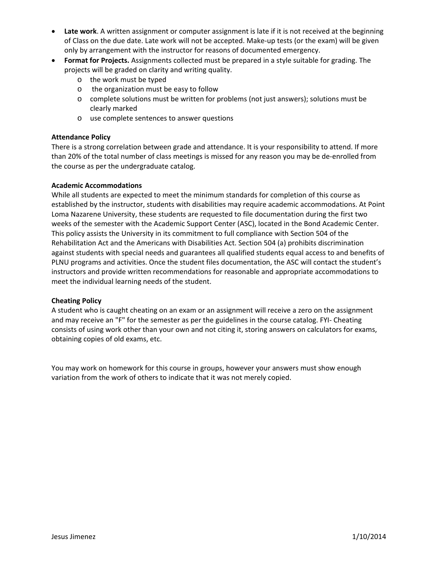- **Late work**. A written assignment or computer assignment is late if it is not received at the beginning of Class on the due date. Late work will not be accepted. Make‐up tests (or the exam) will be given only by arrangement with the instructor for reasons of documented emergency.
- **Format for Projects.** Assignments collected must be prepared in a style suitable for grading. The projects will be graded on clarity and writing quality.
	- o the work must be typed
	- o the organization must be easy to follow
	- o complete solutions must be written for problems (not just answers); solutions must be clearly marked
	- o use complete sentences to answer questions

### **Attendance Policy**

There is a strong correlation between grade and attendance. It is your responsibility to attend. If more than 20% of the total number of class meetings is missed for any reason you may be de‐enrolled from the course as per the undergraduate catalog.

### **Academic Accommodations**

While all students are expected to meet the minimum standards for completion of this course as established by the instructor, students with disabilities may require academic accommodations. At Point Loma Nazarene University, these students are requested to file documentation during the first two weeks of the semester with the Academic Support Center (ASC), located in the Bond Academic Center. This policy assists the University in its commitment to full compliance with Section 504 of the Rehabilitation Act and the Americans with Disabilities Act. Section 504 (a) prohibits discrimination against students with special needs and guarantees all qualified students equal access to and benefits of PLNU programs and activities. Once the student files documentation, the ASC will contact the student's instructors and provide written recommendations for reasonable and appropriate accommodations to meet the individual learning needs of the student.

#### **Cheating Policy**

A student who is caught cheating on an exam or an assignment will receive a zero on the assignment and may receive an "F" for the semester as per the guidelines in the course catalog. FYI‐ Cheating consists of using work other than your own and not citing it, storing answers on calculators for exams, obtaining copies of old exams, etc.

You may work on homework for this course in groups, however your answers must show enough variation from the work of others to indicate that it was not merely copied.